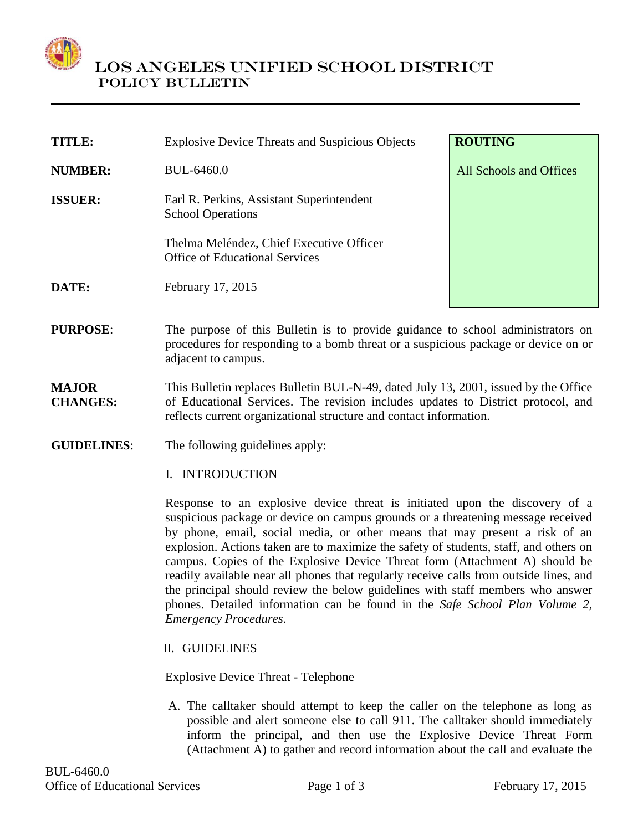

| <b>TITLE:</b>  | <b>Explosive Device Threats and Suspicious Objects</b>                            | <b>ROUTING</b>          |
|----------------|-----------------------------------------------------------------------------------|-------------------------|
| <b>NUMBER:</b> | <b>BUL-6460.0</b>                                                                 | All Schools and Offices |
| <b>ISSUER:</b> | Earl R. Perkins, Assistant Superintendent<br><b>School Operations</b>             |                         |
|                | Thelma Meléndez, Chief Executive Officer<br><b>Office of Educational Services</b> |                         |
| <b>DATE:</b>   | February 17, 2015                                                                 |                         |
|                |                                                                                   |                         |

- **PURPOSE:** The purpose of this Bulletin is to provide guidance to school administrators on procedures for responding to a bomb threat or a suspicious package or device on or adjacent to campus.
- **MAJOR CHANGES:** This Bulletin replaces Bulletin BUL-N-49, dated July 13, 2001, issued by the Office of Educational Services. The revision includes updates to District protocol, and reflects current organizational structure and contact information.
- **GUIDELINES**: The following guidelines apply:
	- I. INTRODUCTION

Response to an explosive device threat is initiated upon the discovery of a suspicious package or device on campus grounds or a threatening message received by phone, email, social media, or other means that may present a risk of an explosion. Actions taken are to maximize the safety of students, staff, and others on campus. Copies of the Explosive Device Threat form (Attachment A) should be readily available near all phones that regularly receive calls from outside lines, and the principal should review the below guidelines with staff members who answer phones. Detailed information can be found in the *Safe School Plan Volume 2, Emergency Procedures*.

II. GUIDELINES

Explosive Device Threat - Telephone

A. The calltaker should attempt to keep the caller on the telephone as long as possible and alert someone else to call 911. The calltaker should immediately inform the principal, and then use the Explosive Device Threat Form (Attachment A) to gather and record information about the call and evaluate the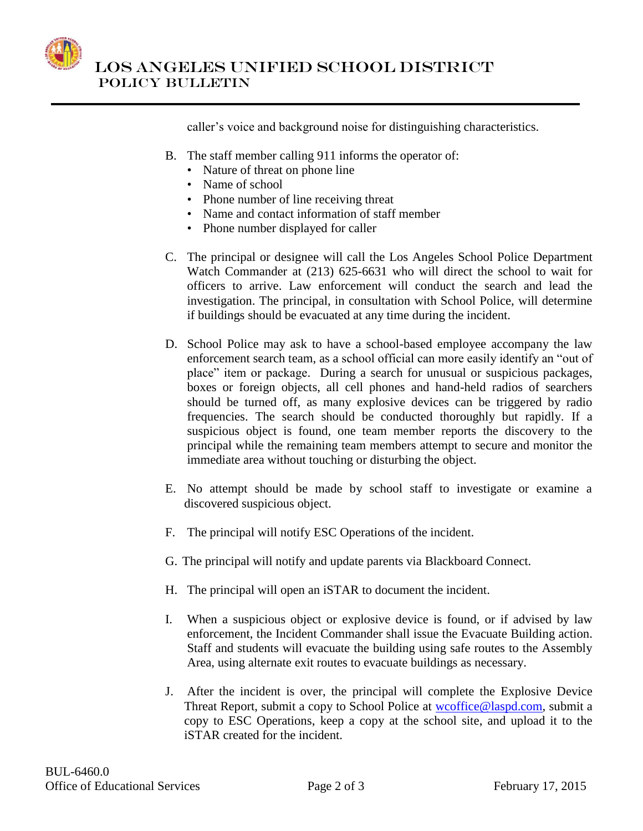

 LOS ANGELES UNIFIED SCHOOL DISTRICT POLICY BULLETIN

caller's voice and background noise for distinguishing characteristics.

- B. The staff member calling 911 informs the operator of:
	- Nature of threat on phone line
	- Name of school
	- Phone number of line receiving threat
	- Name and contact information of staff member
	- Phone number displayed for caller
- C. The principal or designee will call the Los Angeles School Police Department Watch Commander at (213) 625-6631 who will direct the school to wait for officers to arrive. Law enforcement will conduct the search and lead the investigation. The principal, in consultation with School Police, will determine if buildings should be evacuated at any time during the incident.
- D. School Police may ask to have a school-based employee accompany the law enforcement search team, as a school official can more easily identify an "out of place" item or package. During a search for unusual or suspicious packages, boxes or foreign objects, all cell phones and hand-held radios of searchers should be turned off, as many explosive devices can be triggered by radio frequencies. The search should be conducted thoroughly but rapidly. If a suspicious object is found, one team member reports the discovery to the principal while the remaining team members attempt to secure and monitor the immediate area without touching or disturbing the object.
- E. No attempt should be made by school staff to investigate or examine a discovered suspicious object.
- F. The principal will notify ESC Operations of the incident.
- G. The principal will notify and update parents via Blackboard Connect.
- H. The principal will open an iSTAR to document the incident.
- I. When a suspicious object or explosive device is found, or if advised by law enforcement, the Incident Commander shall issue the Evacuate Building action. Staff and students will evacuate the building using safe routes to the Assembly Area, using alternate exit routes to evacuate buildings as necessary.
- J. After the incident is over, the principal will complete the Explosive Device Threat Report, submit a copy to School Police at [wcoffice@laspd.com,](mailto:wcoffice@laspd.com) submit a copy to ESC Operations, keep a copy at the school site, and upload it to the iSTAR created for the incident.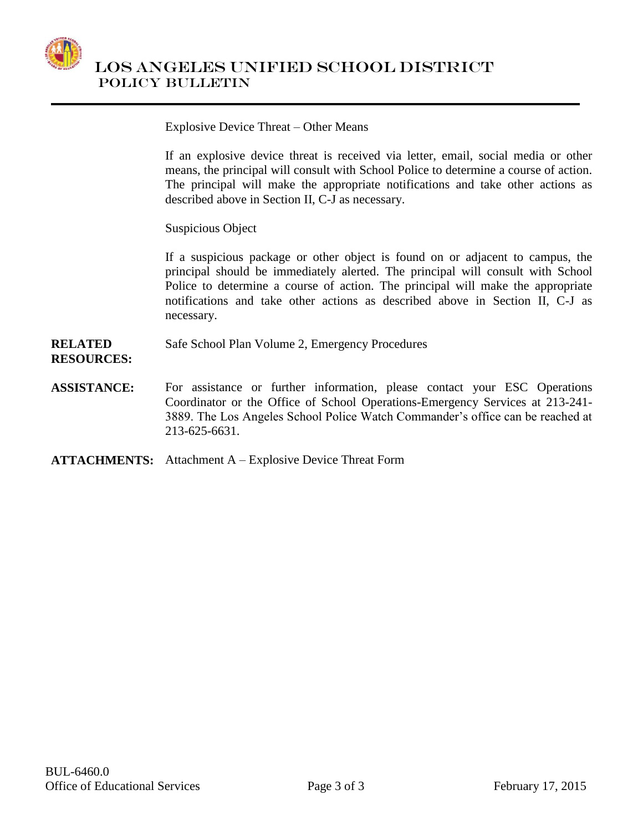

Explosive Device Threat – Other Means

If an explosive device threat is received via letter, email, social media or other means, the principal will consult with School Police to determine a course of action. The principal will make the appropriate notifications and take other actions as described above in Section II, C-J as necessary.

Suspicious Object

If a suspicious package or other object is found on or adjacent to campus, the principal should be immediately alerted. The principal will consult with School Police to determine a course of action. The principal will make the appropriate notifications and take other actions as described above in Section II, C-J as necessary.

**RELATED**  Safe School Plan Volume 2, Emergency Procedures

**RESOURCES:**

- **ASSISTANCE:** For assistance or further information, please contact your ESC Operations Coordinator or the Office of School Operations-Emergency Services at 213-241- 3889. The Los Angeles School Police Watch Commander's office can be reached at 213-625-6631.
- **ATTACHMENTS:** Attachment A Explosive Device Threat Form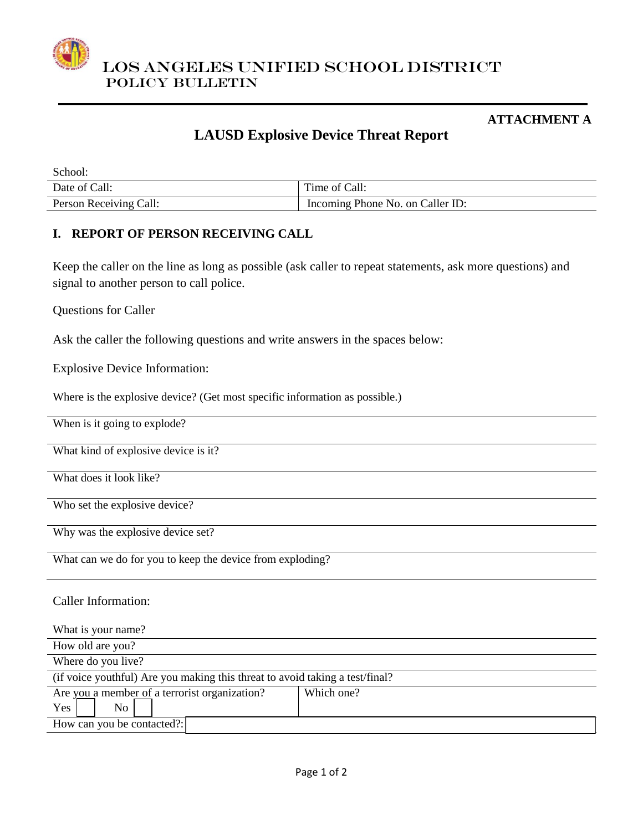

#### **ATTACHMENT A**

# **LAUSD Explosive Device Threat Report**

| School:                |                                  |
|------------------------|----------------------------------|
| Date of Call:          | Time of Call:                    |
| Person Receiving Call: | Incoming Phone No. on Caller ID: |

### **I. REPORT OF PERSON RECEIVING CALL**

Keep the caller on the line as long as possible (ask caller to repeat statements, ask more questions) and signal to another person to call police.

Questions for Caller

Ask the caller the following questions and write answers in the spaces below:

Explosive Device Information:

Where is the explosive device? (Get most specific information as possible.)

When is it going to explode?

What kind of explosive device is it?

What does it look like?

Who set the explosive device?

Why was the explosive device set?

What can we do for you to keep the device from exploding?

Caller Information:

| What is your name?                                                           |            |  |  |
|------------------------------------------------------------------------------|------------|--|--|
| How old are you?                                                             |            |  |  |
| Where do you live?                                                           |            |  |  |
| (if voice youthful) Are you making this threat to avoid taking a test/final? |            |  |  |
| Are you a member of a terrorist organization?                                | Which one? |  |  |
| <b>Yes</b><br>No.                                                            |            |  |  |
| How can you be contacted?:                                                   |            |  |  |